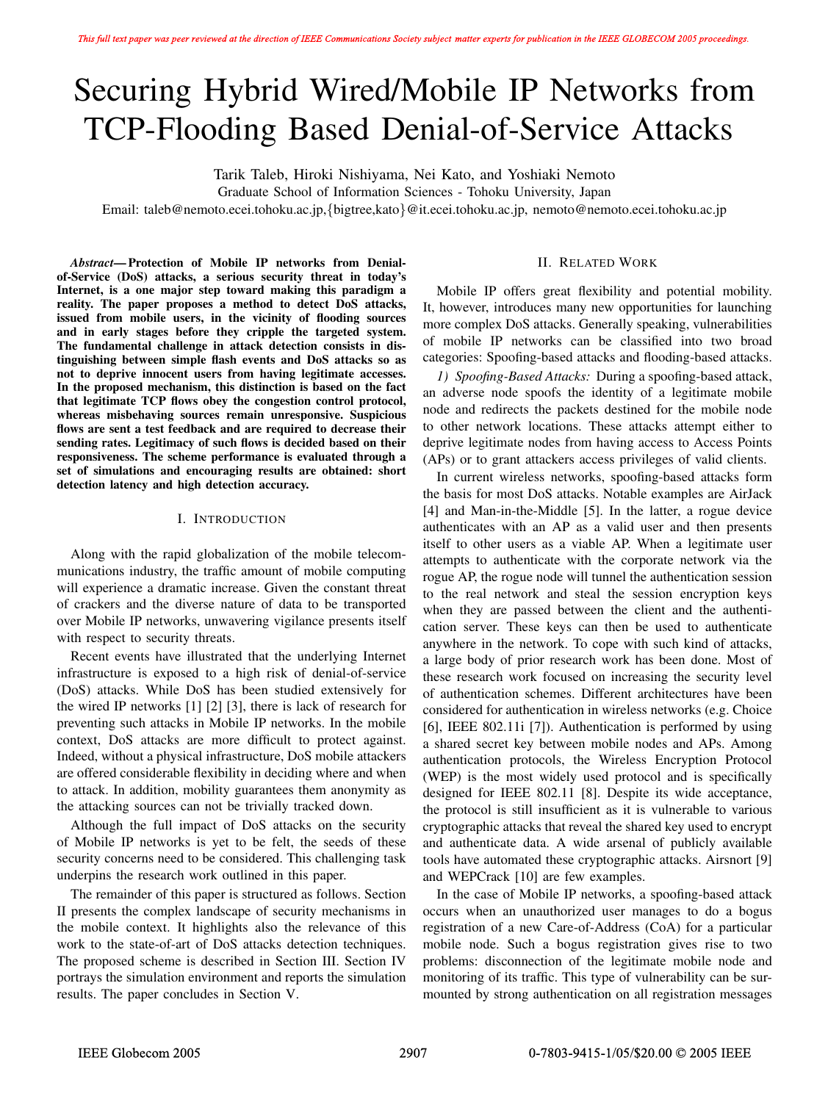# Securing Hybrid Wired/Mobile IP Networks from TCP-Flooding Based Denial-of-Service Attacks

Tarik Taleb, Hiroki Nishiyama, Nei Kato, and Yoshiaki Nemoto

Graduate School of Information Sciences - Tohoku University, Japan

Email: taleb@nemoto.ecei.tohoku.ac.jp,*{*bigtree,kato*}*@it.ecei.tohoku.ac.jp, nemoto@nemoto.ecei.tohoku.ac.jp

*Abstract***— Protection of Mobile IP networks from Denialof-Service (DoS) attacks, a serious security threat in today's Internet, is a one major step toward making this paradigm a reality. The paper proposes a method to detect DoS attacks, issued from mobile users, in the vicinity of flooding sources and in early stages before they cripple the targeted system. The fundamental challenge in attack detection consists in distinguishing between simple flash events and DoS attacks so as not to deprive innocent users from having legitimate accesses. In the proposed mechanism, this distinction is based on the fact that legitimate TCP flows obey the congestion control protocol, whereas misbehaving sources remain unresponsive. Suspicious flows are sent a test feedback and are required to decrease their sending rates. Legitimacy of such flows is decided based on their responsiveness. The scheme performance is evaluated through a set of simulations and encouraging results are obtained: short detection latency and high detection accuracy.**

### I. INTRODUCTION

Along with the rapid globalization of the mobile telecommunications industry, the traffic amount of mobile computing will experience a dramatic increase. Given the constant threat of crackers and the diverse nature of data to be transported over Mobile IP networks, unwavering vigilance presents itself with respect to security threats.

Recent events have illustrated that the underlying Internet infrastructure is exposed to a high risk of denial-of-service (DoS) attacks. While DoS has been studied extensively for the wired IP networks [1] [2] [3], there is lack of research for preventing such attacks in Mobile IP networks. In the mobile context, DoS attacks are more difficult to protect against. Indeed, without a physical infrastructure, DoS mobile attackers are offered considerable flexibility in deciding where and when to attack. In addition, mobility guarantees them anonymity as the attacking sources can not be trivially tracked down.

Although the full impact of DoS attacks on the security of Mobile IP networks is yet to be felt, the seeds of these security concerns need to be considered. This challenging task underpins the research work outlined in this paper.

The remainder of this paper is structured as follows. Section II presents the complex landscape of security mechanisms in the mobile context. It highlights also the relevance of this work to the state-of-art of DoS attacks detection techniques. The proposed scheme is described in Section III. Section IV portrays the simulation environment and reports the simulation results. The paper concludes in Section V.

# II. RELATED WORK

Mobile IP offers great flexibility and potential mobility. It, however, introduces many new opportunities for launching more complex DoS attacks. Generally speaking, vulnerabilities of mobile IP networks can be classified into two broad categories: Spoofing-based attacks and flooding-based attacks.

*1) Spoofing-Based Attacks:* During a spoofing-based attack, an adverse node spoofs the identity of a legitimate mobile node and redirects the packets destined for the mobile node to other network locations. These attacks attempt either to deprive legitimate nodes from having access to Access Points (APs) or to grant attackers access privileges of valid clients.

In current wireless networks, spoofing-based attacks form the basis for most DoS attacks. Notable examples are AirJack [4] and Man-in-the-Middle [5]. In the latter, a rogue device authenticates with an AP as a valid user and then presents itself to other users as a viable AP. When a legitimate user attempts to authenticate with the corporate network via the rogue AP, the rogue node will tunnel the authentication session to the real network and steal the session encryption keys when they are passed between the client and the authentication server. These keys can then be used to authenticate anywhere in the network. To cope with such kind of attacks, a large body of prior research work has been done. Most of these research work focused on increasing the security level of authentication schemes. Different architectures have been considered for authentication in wireless networks (e.g. Choice [6], IEEE 802.11i [7]). Authentication is performed by using a shared secret key between mobile nodes and APs. Among authentication protocols, the Wireless Encryption Protocol (WEP) is the most widely used protocol and is specifically designed for IEEE 802.11 [8]. Despite its wide acceptance, the protocol is still insufficient as it is vulnerable to various cryptographic attacks that reveal the shared key used to encrypt and authenticate data. A wide arsenal of publicly available tools have automated these cryptographic attacks. Airsnort [9] and WEPCrack [10] are few examples.

In the case of Mobile IP networks, a spoofing-based attack occurs when an unauthorized user manages to do a bogus registration of a new Care-of-Address (CoA) for a particular mobile node. Such a bogus registration gives rise to two problems: disconnection of the legitimate mobile node and monitoring of its traffic. This type of vulnerability can be surmounted by strong authentication on all registration messages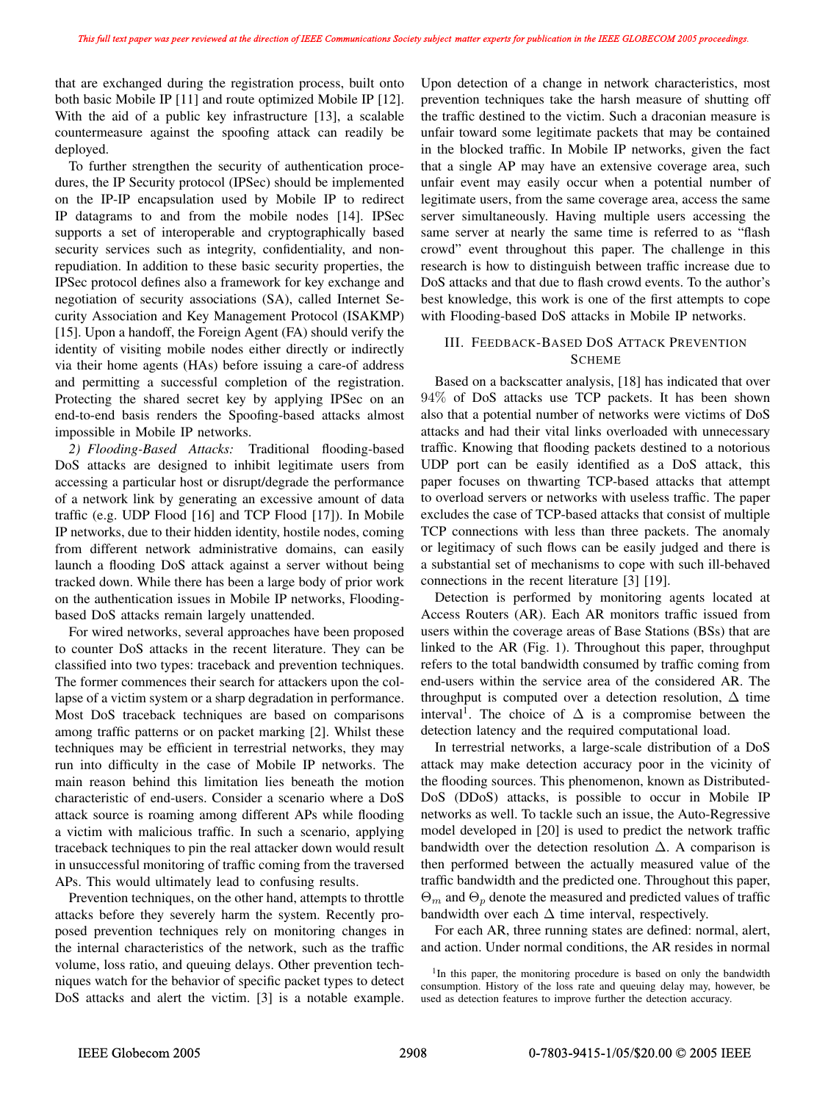that are exchanged during the registration process, built onto both basic Mobile IP [11] and route optimized Mobile IP [12]. With the aid of a public key infrastructure [13], a scalable countermeasure against the spoofing attack can readily be deployed.

To further strengthen the security of authentication procedures, the IP Security protocol (IPSec) should be implemented on the IP-IP encapsulation used by Mobile IP to redirect IP datagrams to and from the mobile nodes [14]. IPSec supports a set of interoperable and cryptographically based security services such as integrity, confidentiality, and nonrepudiation. In addition to these basic security properties, the IPSec protocol defines also a framework for key exchange and negotiation of security associations (SA), called Internet Security Association and Key Management Protocol (ISAKMP) [15]. Upon a handoff, the Foreign Agent (FA) should verify the identity of visiting mobile nodes either directly or indirectly via their home agents (HAs) before issuing a care-of address and permitting a successful completion of the registration. Protecting the shared secret key by applying IPSec on an end-to-end basis renders the Spoofing-based attacks almost impossible in Mobile IP networks.

*2) Flooding-Based Attacks:* Traditional flooding-based DoS attacks are designed to inhibit legitimate users from accessing a particular host or disrupt/degrade the performance of a network link by generating an excessive amount of data traffic (e.g. UDP Flood [16] and TCP Flood [17]). In Mobile IP networks, due to their hidden identity, hostile nodes, coming from different network administrative domains, can easily launch a flooding DoS attack against a server without being tracked down. While there has been a large body of prior work on the authentication issues in Mobile IP networks, Floodingbased DoS attacks remain largely unattended.

For wired networks, several approaches have been proposed to counter DoS attacks in the recent literature. They can be classified into two types: traceback and prevention techniques. The former commences their search for attackers upon the collapse of a victim system or a sharp degradation in performance. Most DoS traceback techniques are based on comparisons among traffic patterns or on packet marking [2]. Whilst these techniques may be efficient in terrestrial networks, they may run into difficulty in the case of Mobile IP networks. The main reason behind this limitation lies beneath the motion characteristic of end-users. Consider a scenario where a DoS attack source is roaming among different APs while flooding a victim with malicious traffic. In such a scenario, applying traceback techniques to pin the real attacker down would result in unsuccessful monitoring of traffic coming from the traversed APs. This would ultimately lead to confusing results.

Prevention techniques, on the other hand, attempts to throttle attacks before they severely harm the system. Recently proposed prevention techniques rely on monitoring changes in the internal characteristics of the network, such as the traffic volume, loss ratio, and queuing delays. Other prevention techniques watch for the behavior of specific packet types to detect DoS attacks and alert the victim. [3] is a notable example.

Upon detection of a change in network characteristics, most prevention techniques take the harsh measure of shutting off the traffic destined to the victim. Such a draconian measure is unfair toward some legitimate packets that may be contained in the blocked traffic. In Mobile IP networks, given the fact that a single AP may have an extensive coverage area, such unfair event may easily occur when a potential number of legitimate users, from the same coverage area, access the same server simultaneously. Having multiple users accessing the same server at nearly the same time is referred to as "flash crowd" event throughout this paper. The challenge in this research is how to distinguish between traffic increase due to DoS attacks and that due to flash crowd events. To the author's best knowledge, this work is one of the first attempts to cope with Flooding-based DoS attacks in Mobile IP networks.

# III. FEEDBACK-BASED DOS ATTACK PREVENTION **SCHEME**

Based on a backscatter analysis, [18] has indicated that over 94% of DoS attacks use TCP packets. It has been shown also that a potential number of networks were victims of DoS attacks and had their vital links overloaded with unnecessary traffic. Knowing that flooding packets destined to a notorious UDP port can be easily identified as a DoS attack, this paper focuses on thwarting TCP-based attacks that attempt to overload servers or networks with useless traffic. The paper excludes the case of TCP-based attacks that consist of multiple TCP connections with less than three packets. The anomaly or legitimacy of such flows can be easily judged and there is a substantial set of mechanisms to cope with such ill-behaved connections in the recent literature [3] [19].

Detection is performed by monitoring agents located at Access Routers (AR). Each AR monitors traffic issued from users within the coverage areas of Base Stations (BSs) that are linked to the AR (Fig. 1). Throughout this paper, throughput refers to the total bandwidth consumed by traffic coming from end-users within the service area of the considered AR. The throughput is computed over a detection resolution,  $\Delta$  time interval<sup>1</sup>. The choice of  $\Delta$  is a compromise between the detection latency and the required computational load.

In terrestrial networks, a large-scale distribution of a DoS attack may make detection accuracy poor in the vicinity of the flooding sources. This phenomenon, known as Distributed-DoS (DDoS) attacks, is possible to occur in Mobile IP networks as well. To tackle such an issue, the Auto-Regressive model developed in [20] is used to predict the network traffic bandwidth over the detection resolution  $\Delta$ . A comparison is then performed between the actually measured value of the traffic bandwidth and the predicted one. Throughout this paper,  $\Theta_m$  and  $\Theta_p$  denote the measured and predicted values of traffic bandwidth over each  $\Delta$  time interval, respectively.

For each AR, three running states are defined: normal, alert, and action. Under normal conditions, the AR resides in normal

<sup>&</sup>lt;sup>1</sup>In this paper, the monitoring procedure is based on only the bandwidth consumption. History of the loss rate and queuing delay may, however, be used as detection features to improve further the detection accuracy.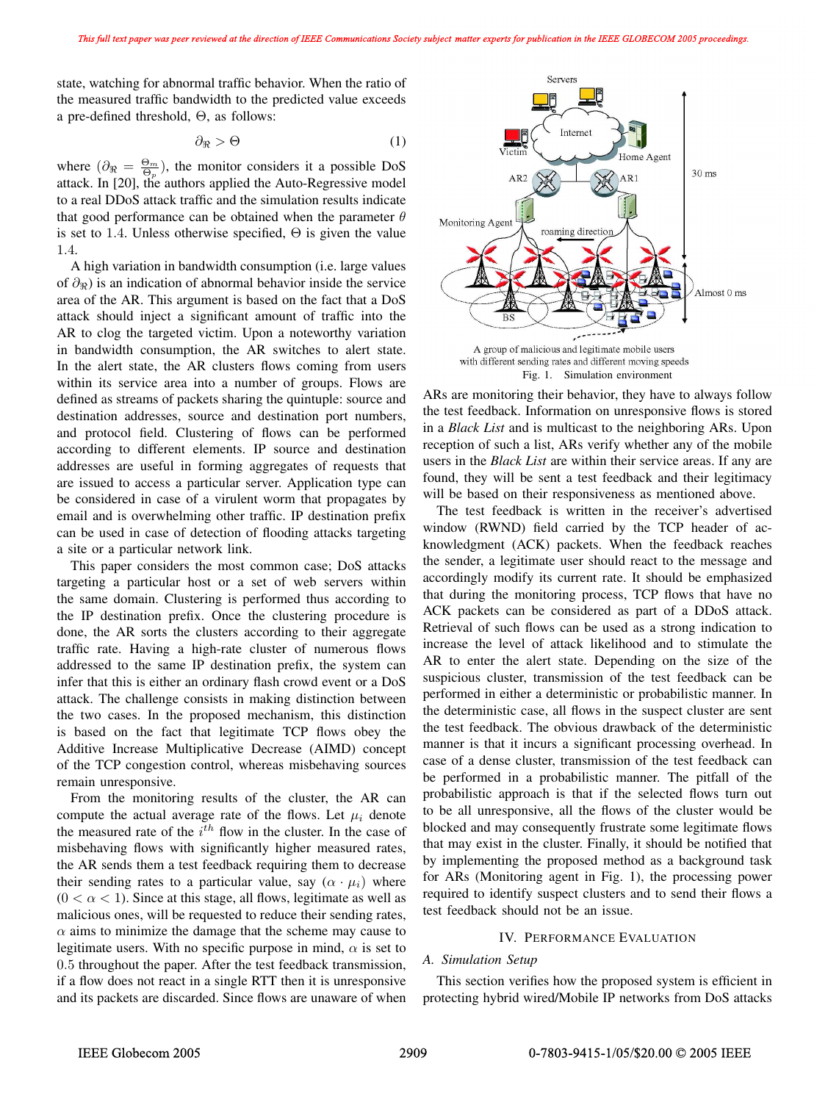state, watching for abnormal traffic behavior. When the ratio of the measured traffic bandwidth to the predicted value exceeds a pre-defined threshold, Θ, as follows:

$$
\partial_{\Re} > \Theta \tag{1}
$$

where  $(\partial_{\Re} = \frac{\Theta_m}{\Theta_p})$ , the monitor considers it a possible DoS attack. In [20], the authors applied the Auto-Regressive model to a real DDoS attack traffic and the simulation results indicate that good performance can be obtained when the parameter  $\theta$ is set to 1.4. Unless otherwise specified,  $\Theta$  is given the value 1.4.

A high variation in bandwidth consumption (i.e. large values of  $\partial_{\Re}$ ) is an indication of abnormal behavior inside the service area of the AR. This argument is based on the fact that a DoS attack should inject a significant amount of traffic into the AR to clog the targeted victim. Upon a noteworthy variation in bandwidth consumption, the AR switches to alert state. In the alert state, the AR clusters flows coming from users within its service area into a number of groups. Flows are defined as streams of packets sharing the quintuple: source and destination addresses, source and destination port numbers, and protocol field. Clustering of flows can be performed according to different elements. IP source and destination addresses are useful in forming aggregates of requests that are issued to access a particular server. Application type can be considered in case of a virulent worm that propagates by email and is overwhelming other traffic. IP destination prefix can be used in case of detection of flooding attacks targeting a site or a particular network link.

This paper considers the most common case; DoS attacks targeting a particular host or a set of web servers within the same domain. Clustering is performed thus according to the IP destination prefix. Once the clustering procedure is done, the AR sorts the clusters according to their aggregate traffic rate. Having a high-rate cluster of numerous flows addressed to the same IP destination prefix, the system can infer that this is either an ordinary flash crowd event or a DoS attack. The challenge consists in making distinction between the two cases. In the proposed mechanism, this distinction is based on the fact that legitimate TCP flows obey the Additive Increase Multiplicative Decrease (AIMD) concept of the TCP congestion control, whereas misbehaving sources remain unresponsive.

From the monitoring results of the cluster, the AR can compute the actual average rate of the flows. Let  $\mu_i$  denote the measured rate of the  $i<sup>th</sup>$  flow in the cluster. In the case of misbehaving flows with significantly higher measured rates, the AR sends them a test feedback requiring them to decrease their sending rates to a particular value, say  $(\alpha \cdot \mu_i)$  where  $(0 < \alpha < 1)$ . Since at this stage, all flows, legitimate as well as malicious ones, will be requested to reduce their sending rates,  $\alpha$  aims to minimize the damage that the scheme may cause to legitimate users. With no specific purpose in mind,  $\alpha$  is set to 0.5 throughout the paper. After the test feedback transmission, if a flow does not react in a single RTT then it is unresponsive and its packets are discarded. Since flows are unaware of when





ARs are monitoring their behavior, they have to always follow the test feedback. Information on unresponsive flows is stored in a *Black List* and is multicast to the neighboring ARs. Upon reception of such a list, ARs verify whether any of the mobile users in the *Black List* are within their service areas. If any are found, they will be sent a test feedback and their legitimacy will be based on their responsiveness as mentioned above.

The test feedback is written in the receiver's advertised window (RWND) field carried by the TCP header of acknowledgment (ACK) packets. When the feedback reaches the sender, a legitimate user should react to the message and accordingly modify its current rate. It should be emphasized that during the monitoring process, TCP flows that have no ACK packets can be considered as part of a DDoS attack. Retrieval of such flows can be used as a strong indication to increase the level of attack likelihood and to stimulate the AR to enter the alert state. Depending on the size of the suspicious cluster, transmission of the test feedback can be performed in either a deterministic or probabilistic manner. In the deterministic case, all flows in the suspect cluster are sent the test feedback. The obvious drawback of the deterministic manner is that it incurs a significant processing overhead. In case of a dense cluster, transmission of the test feedback can be performed in a probabilistic manner. The pitfall of the probabilistic approach is that if the selected flows turn out to be all unresponsive, all the flows of the cluster would be blocked and may consequently frustrate some legitimate flows that may exist in the cluster. Finally, it should be notified that by implementing the proposed method as a background task for ARs (Monitoring agent in Fig. 1), the processing power required to identify suspect clusters and to send their flows a test feedback should not be an issue.

## IV. PERFORMANCE EVALUATION

#### *A. Simulation Setup*

This section verifies how the proposed system is efficient in protecting hybrid wired/Mobile IP networks from DoS attacks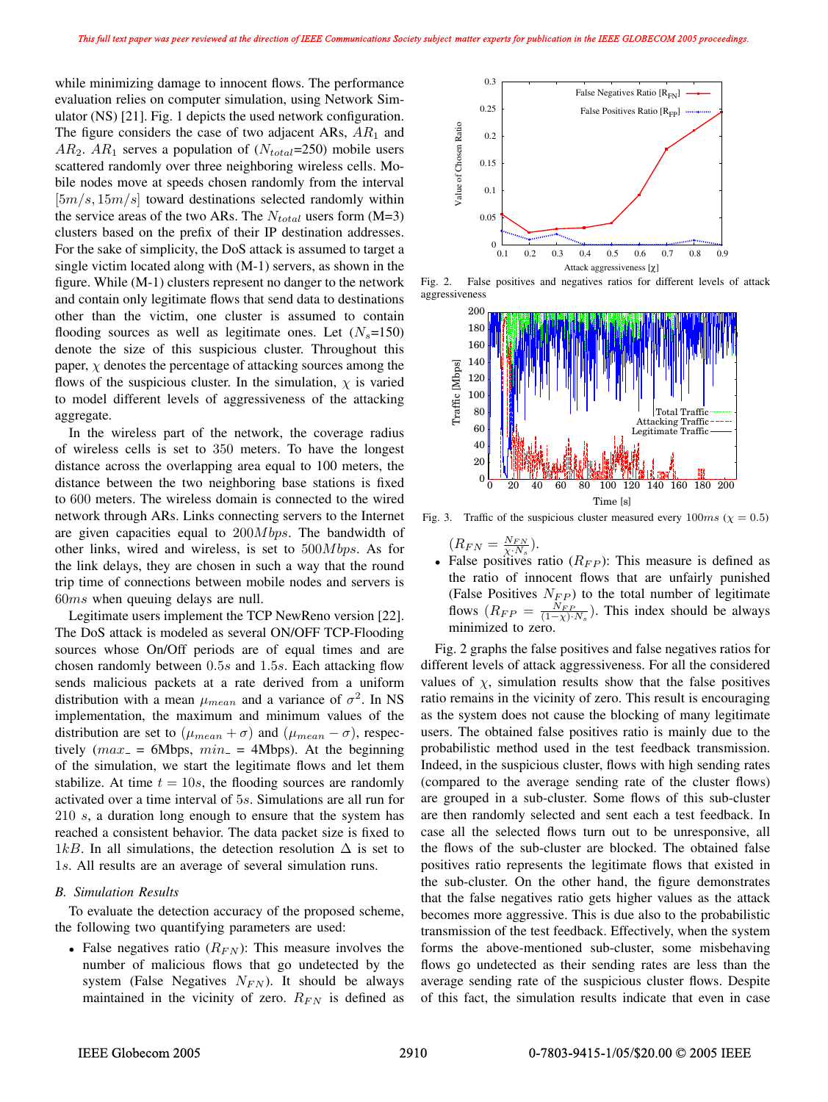while minimizing damage to innocent flows. The performance evaluation relies on computer simulation, using Network Simulator (NS) [21]. Fig. 1 depicts the used network configuration. The figure considers the case of two adjacent ARs,  $AR_1$  and  $AR_2$ .  $AR_1$  serves a population of  $(N_{total}=250)$  mobile users scattered randomly over three neighboring wireless cells. Mobile nodes move at speeds chosen randomly from the interval  $[5m/s, 15m/s]$  toward destinations selected randomly within the service areas of the two ARs. The  $N_{total}$  users form (M=3) clusters based on the prefix of their IP destination addresses. For the sake of simplicity, the DoS attack is assumed to target a single victim located along with (M-1) servers, as shown in the figure. While (M-1) clusters represent no danger to the network and contain only legitimate flows that send data to destinations other than the victim, one cluster is assumed to contain flooding sources as well as legitimate ones. Let  $(N_s=150)$ denote the size of this suspicious cluster. Throughout this paper,  $\chi$  denotes the percentage of attacking sources among the flows of the suspicious cluster. In the simulation,  $\chi$  is varied to model different levels of aggressiveness of the attacking aggregate.

In the wireless part of the network, the coverage radius of wireless cells is set to 350 meters. To have the longest distance across the overlapping area equal to 100 meters, the distance between the two neighboring base stations is fixed to 600 meters. The wireless domain is connected to the wired network through ARs. Links connecting servers to the Internet are given capacities equal to  $200Mbps$ . The bandwidth of other links, wired and wireless, is set to  $500Mbps$ . As for the link delays, they are chosen in such a way that the round trip time of connections between mobile nodes and servers is 60ms when queuing delays are null.

Legitimate users implement the TCP NewReno version [22]. The DoS attack is modeled as several ON/OFF TCP-Flooding sources whose On/Off periods are of equal times and are chosen randomly between 0.5s and 1.5s. Each attacking flow sends malicious packets at a rate derived from a uniform distribution with a mean  $\mu_{mean}$  and a variance of  $\sigma^2$ . In NS implementation, the maximum and minimum values of the distribution are set to ( $\mu_{mean} + \sigma$ ) and ( $\mu_{mean} - \sigma$ ), respectively  $(max = 6Mbps, min = 4Mbps)$ . At the beginning of the simulation, we start the legitimate flows and let them stabilize. At time  $t = 10s$ , the flooding sources are randomly activated over a time interval of 5s. Simulations are all run for 210 s, a duration long enough to ensure that the system has reached a consistent behavior. The data packet size is fixed to 1kB. In all simulations, the detection resolution  $\Delta$  is set to 1s. All results are an average of several simulation runs.

#### *B. Simulation Results*

To evaluate the detection accuracy of the proposed scheme, the following two quantifying parameters are used:

• False negatives ratio  $(R_{FN})$ : This measure involves the number of malicious flows that go undetected by the system (False Negatives  $N_{FN}$ ). It should be always maintained in the vicinity of zero.  $R_{FN}$  is defined as



Fig. 2. False positives and negatives ratios for different levels of attack aggressiveness



Fig. 3. Traffic of the suspicious cluster measured every  $100ms$  ( $\chi = 0.5$ )

 $(R_{FN} = \frac{N_{FN}}{\chi \cdot N_s}).$ • False positives ratio  $(R_{FP})$ : This measure is defined as the ratio of innocent flows that are unfairly punished (False Positives  $N_{FP}$ ) to the total number of legitimate flows  $(R_{FP} = \frac{N_{FP}}{(1-\chi) \cdot N_s})$ . This index should be always minimized to zero.

Fig. 2 graphs the false positives and false negatives ratios for different levels of attack aggressiveness. For all the considered values of  $\chi$ , simulation results show that the false positives ratio remains in the vicinity of zero. This result is encouraging as the system does not cause the blocking of many legitimate users. The obtained false positives ratio is mainly due to the probabilistic method used in the test feedback transmission. Indeed, in the suspicious cluster, flows with high sending rates (compared to the average sending rate of the cluster flows) are grouped in a sub-cluster. Some flows of this sub-cluster are then randomly selected and sent each a test feedback. In case all the selected flows turn out to be unresponsive, all the flows of the sub-cluster are blocked. The obtained false positives ratio represents the legitimate flows that existed in the sub-cluster. On the other hand, the figure demonstrates that the false negatives ratio gets higher values as the attack becomes more aggressive. This is due also to the probabilistic transmission of the test feedback. Effectively, when the system forms the above-mentioned sub-cluster, some misbehaving flows go undetected as their sending rates are less than the average sending rate of the suspicious cluster flows. Despite of this fact, the simulation results indicate that even in case